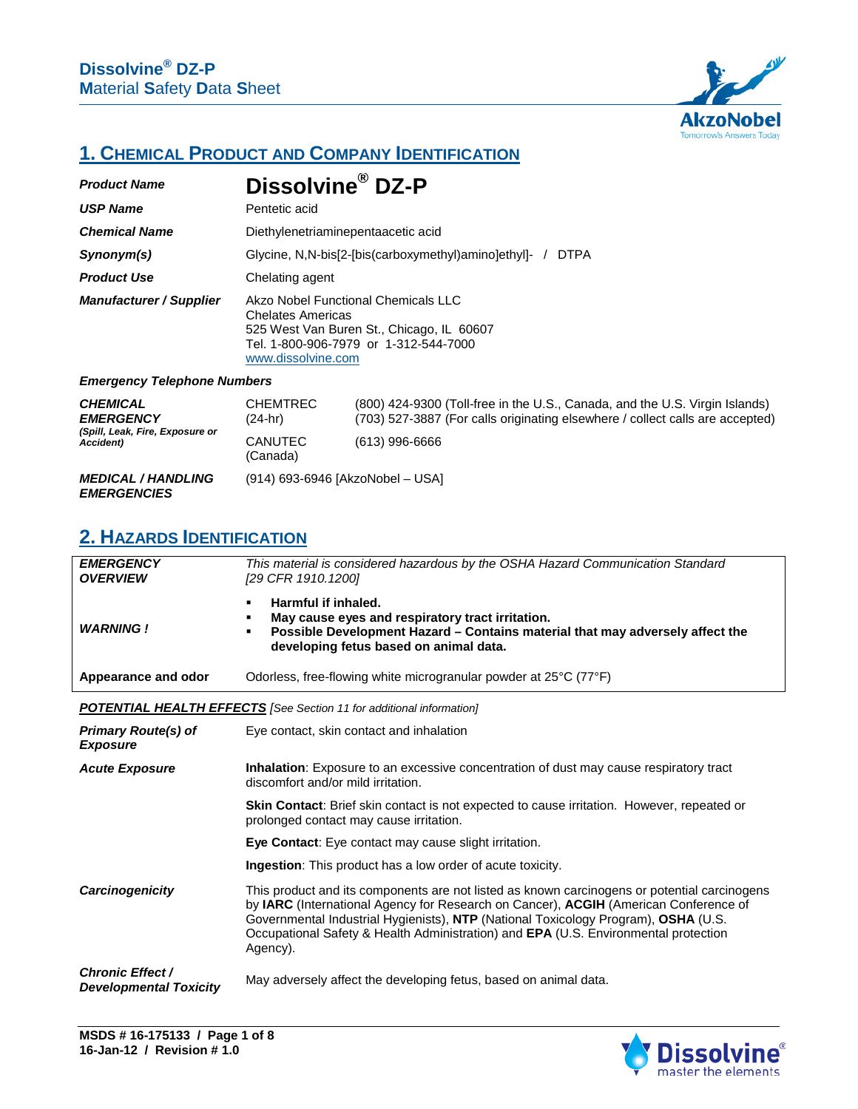

# **1. CHEMICAL PRODUCT AND COMPANY IDENTIFICATION**

| <b>Product Name</b>                                                    | Dissolvine <sup>®</sup> DZ-P                                                                                                                                                |                                                                                                                                                              |
|------------------------------------------------------------------------|-----------------------------------------------------------------------------------------------------------------------------------------------------------------------------|--------------------------------------------------------------------------------------------------------------------------------------------------------------|
| <b>USP Name</b>                                                        | Pentetic acid                                                                                                                                                               |                                                                                                                                                              |
| <b>Chemical Name</b>                                                   | Diethylenetriaminepentaacetic acid                                                                                                                                          |                                                                                                                                                              |
| Synonym(s)                                                             | Glycine, N.N-bis[2-[bis(carboxymethyl)amino]ethyl]- /<br><b>DTPA</b>                                                                                                        |                                                                                                                                                              |
| <b>Product Use</b>                                                     | Chelating agent                                                                                                                                                             |                                                                                                                                                              |
| <b>Manufacturer / Supplier</b>                                         | Akzo Nobel Functional Chemicals LLC<br><b>Chelates Americas</b><br>525 West Van Buren St., Chicago, IL 60607<br>Tel. 1-800-906-7979 or 1-312-544-7000<br>www.dissolvine.com |                                                                                                                                                              |
| <b>Emergency Telephone Numbers</b>                                     |                                                                                                                                                                             |                                                                                                                                                              |
| <b>CHEMICAL</b><br><b>EMERGENCY</b><br>(Spill, Leak, Fire, Exposure or | <b>CHEMTREC</b><br>(24-hr)                                                                                                                                                  | (800) 424-9300 (Toll-free in the U.S., Canada, and the U.S. Virgin Islands)<br>(703) 527-3887 (For calls originating elsewhere / collect calls are accepted) |
|                                                                        |                                                                                                                                                                             |                                                                                                                                                              |

| spill, Lean, Fire, Exposure of<br>Accident)     | <b>CANUTEC</b><br>(Canada) | $(613)$ 996-6666                 |
|-------------------------------------------------|----------------------------|----------------------------------|
| <b>MEDICAL / HANDLING</b><br><b>EMERGENCIES</b> |                            | (914) 693-6946 [AkzoNobel - USA] |

## **2. HAZARDS IDENTIFICATION**

| <b>EMERGENCY</b><br><b>OVERVIEW</b>                      | This material is considered hazardous by the OSHA Hazard Communication Standard<br>[29 CFR 1910.1200]                                                                                                                                                                                                                                                                         |
|----------------------------------------------------------|-------------------------------------------------------------------------------------------------------------------------------------------------------------------------------------------------------------------------------------------------------------------------------------------------------------------------------------------------------------------------------|
| <b>WARNING!</b>                                          | Harmful if inhaled.<br>$\blacksquare$<br>May cause eyes and respiratory tract irritation.<br>٠<br>Possible Development Hazard - Contains material that may adversely affect the<br>٠<br>developing fetus based on animal data.                                                                                                                                                |
| Appearance and odor                                      | Odorless, free-flowing white microgranular powder at 25°C (77°F)                                                                                                                                                                                                                                                                                                              |
|                                                          | <b>POTENTIAL HEALTH EFFECTS</b> [See Section 11 for additional information]                                                                                                                                                                                                                                                                                                   |
| <b>Primary Route(s) of</b><br><b>Exposure</b>            | Eye contact, skin contact and inhalation                                                                                                                                                                                                                                                                                                                                      |
| <b>Acute Exposure</b>                                    | <b>Inhalation</b> : Exposure to an excessive concentration of dust may cause respiratory tract<br>discomfort and/or mild irritation.                                                                                                                                                                                                                                          |
|                                                          | <b>Skin Contact:</b> Brief skin contact is not expected to cause irritation. However, repeated or<br>prolonged contact may cause irritation.                                                                                                                                                                                                                                  |
|                                                          | Eye Contact: Eye contact may cause slight irritation.                                                                                                                                                                                                                                                                                                                         |
|                                                          | <b>Ingestion:</b> This product has a low order of acute toxicity.                                                                                                                                                                                                                                                                                                             |
| Carcinogenicity                                          | This product and its components are not listed as known carcinogens or potential carcinogens<br>by IARC (International Agency for Research on Cancer), ACGIH (American Conference of<br>Governmental Industrial Hygienists), NTP (National Toxicology Program), OSHA (U.S.<br>Occupational Safety & Health Administration) and EPA (U.S. Environmental protection<br>Agency). |
| <b>Chronic Effect /</b><br><b>Developmental Toxicity</b> | May adversely affect the developing fetus, based on animal data.                                                                                                                                                                                                                                                                                                              |

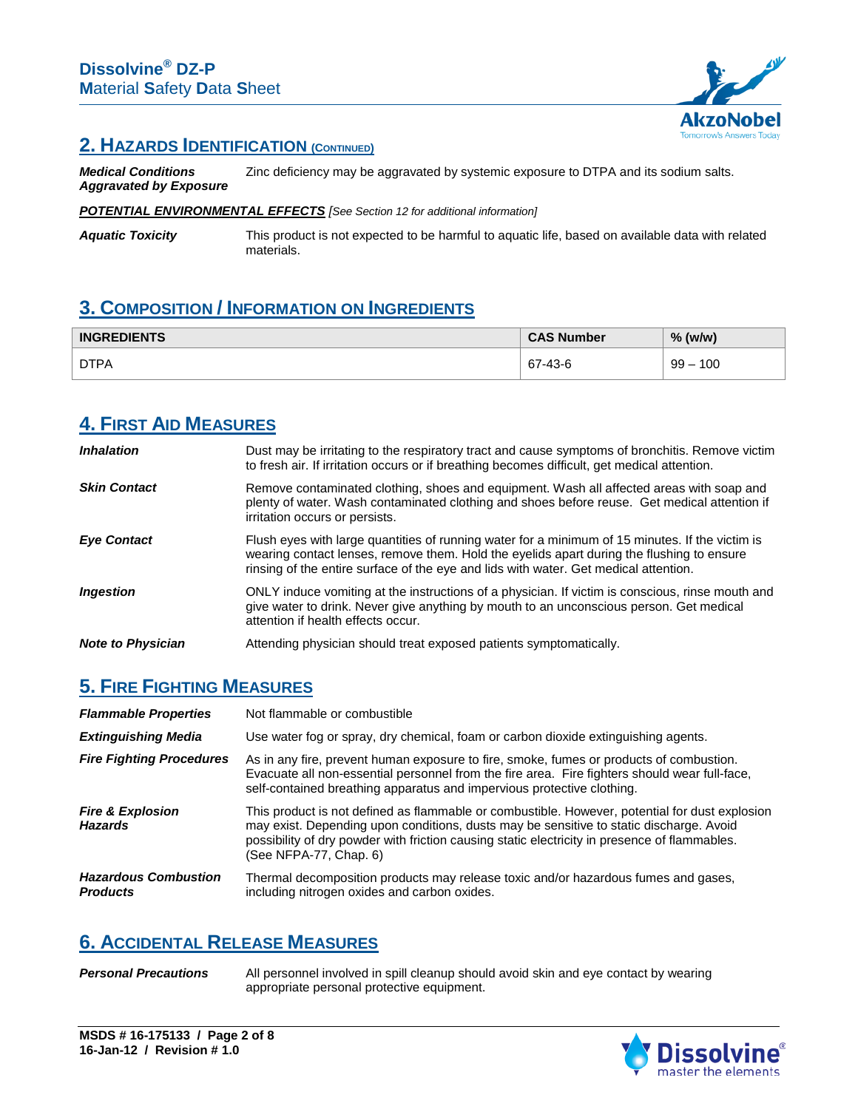

#### **2. HAZARDS IDENTIFICATION (CONTINUED)**

*Medical Conditions Aggravated by Exposure* Zinc deficiency may be aggravated by systemic exposure to DTPA and its sodium salts.

*POTENTIAL ENVIRONMENTAL EFFECTS [See Section 12 for additional information]*

*Aquatic Toxicity* This product is not expected to be harmful to aquatic life, based on available data with related materials.

# **3. COMPOSITION / INFORMATION ON INGREDIENTS**

| <b>INGREDIENTS</b> | <b>CAS Number</b> | % (w/w)       |
|--------------------|-------------------|---------------|
| <b>DTPA</b>        | 67-43-6           | 100<br>$99 -$ |

## **4. FIRST AID MEASURES**

| <i><b>Inhalation</b></i> | Dust may be irritating to the respiratory tract and cause symptoms of bronchitis. Remove victim<br>to fresh air. If irritation occurs or if breathing becomes difficult, get medical attention.                                                                                      |
|--------------------------|--------------------------------------------------------------------------------------------------------------------------------------------------------------------------------------------------------------------------------------------------------------------------------------|
| <b>Skin Contact</b>      | Remove contaminated clothing, shoes and equipment. Wash all affected areas with soap and<br>plenty of water. Wash contaminated clothing and shoes before reuse. Get medical attention if<br>irritation occurs or persists.                                                           |
| <b>Eye Contact</b>       | Flush eyes with large quantities of running water for a minimum of 15 minutes. If the victim is<br>wearing contact lenses, remove them. Hold the eyelids apart during the flushing to ensure<br>rinsing of the entire surface of the eye and lids with water. Get medical attention. |
| <i><b>Ingestion</b></i>  | ONLY induce vomiting at the instructions of a physician. If victim is conscious, rinse mouth and<br>give water to drink. Never give anything by mouth to an unconscious person. Get medical<br>attention if health effects occur.                                                    |
| <b>Note to Physician</b> | Attending physician should treat exposed patients symptomatically.                                                                                                                                                                                                                   |

# **5. FIRE FIGHTING MEASURES**

| <b>Flammable Properties</b>                    | Not flammable or combustible                                                                                                                                                                                                                                                                                         |
|------------------------------------------------|----------------------------------------------------------------------------------------------------------------------------------------------------------------------------------------------------------------------------------------------------------------------------------------------------------------------|
| <b>Extinguishing Media</b>                     | Use water fog or spray, dry chemical, foam or carbon dioxide extinguishing agents.                                                                                                                                                                                                                                   |
| <b>Fire Fighting Procedures</b>                | As in any fire, prevent human exposure to fire, smoke, fumes or products of combustion.<br>Evacuate all non-essential personnel from the fire area. Fire fighters should wear full-face,<br>self-contained breathing apparatus and impervious protective clothing.                                                   |
| <b>Fire &amp; Explosion</b><br><b>Hazards</b>  | This product is not defined as flammable or combustible. However, potential for dust explosion<br>may exist. Depending upon conditions, dusts may be sensitive to static discharge. Avoid<br>possibility of dry powder with friction causing static electricity in presence of flammables.<br>(See NFPA-77, Chap. 6) |
| <b>Hazardous Combustion</b><br><b>Products</b> | Thermal decomposition products may release toxic and/or hazardous fumes and gases,<br>including nitrogen oxides and carbon oxides.                                                                                                                                                                                   |

# **6. ACCIDENTAL RELEASE MEASURES**

*Personal Precautions* All personnel involved in spill cleanup should avoid skin and eye contact by wearing appropriate personal protective equipment.

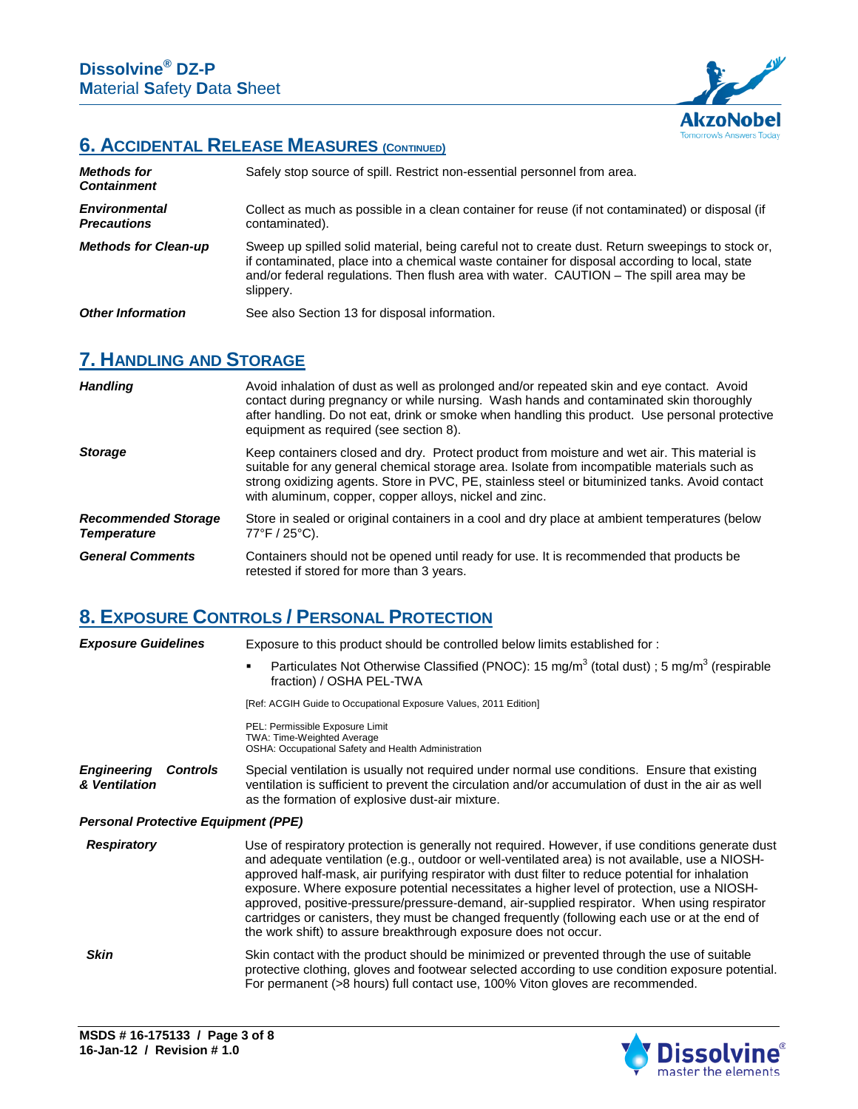

# **6. ACCIDENTAL RELEASE MEASURES (CONTINUED)**

| <b>Methods for</b><br><b>Containment</b>   | Safely stop source of spill. Restrict non-essential personnel from area.                                                                                                                                                                                                                                  |
|--------------------------------------------|-----------------------------------------------------------------------------------------------------------------------------------------------------------------------------------------------------------------------------------------------------------------------------------------------------------|
| <b>Environmental</b><br><b>Precautions</b> | Collect as much as possible in a clean container for reuse (if not contaminated) or disposal (if<br>contaminated).                                                                                                                                                                                        |
| <b>Methods for Clean-up</b>                | Sweep up spilled solid material, being careful not to create dust. Return sweepings to stock or,<br>if contaminated, place into a chemical waste container for disposal according to local, state<br>and/or federal regulations. Then flush area with water. CAUTION – The spill area may be<br>slippery. |
| <b>Other Information</b>                   | See also Section 13 for disposal information.                                                                                                                                                                                                                                                             |

## **7. HANDLING AND STORAGE**

| <b>Handling</b>                                  | Avoid inhalation of dust as well as prolonged and/or repeated skin and eye contact. Avoid<br>contact during pregnancy or while nursing. Wash hands and contaminated skin thoroughly<br>after handling. Do not eat, drink or smoke when handling this product. Use personal protective<br>equipment as required (see section 8).                        |
|--------------------------------------------------|--------------------------------------------------------------------------------------------------------------------------------------------------------------------------------------------------------------------------------------------------------------------------------------------------------------------------------------------------------|
| <b>Storage</b>                                   | Keep containers closed and dry. Protect product from moisture and wet air. This material is<br>suitable for any general chemical storage area. Isolate from incompatible materials such as<br>strong oxidizing agents. Store in PVC, PE, stainless steel or bituminized tanks. Avoid contact<br>with aluminum, copper, copper alloys, nickel and zinc. |
| <b>Recommended Storage</b><br><b>Temperature</b> | Store in sealed or original containers in a cool and dry place at ambient temperatures (below<br>$77^{\circ}$ F / 25 $^{\circ}$ C).                                                                                                                                                                                                                    |
| <b>General Comments</b>                          | Containers should not be opened until ready for use. It is recommended that products be<br>retested if stored for more than 3 years.                                                                                                                                                                                                                   |

# **8. EXPOSURE CONTROLS / PERSONAL PROTECTION**

| <b>Exposure Guidelines</b>                 |                 | Exposure to this product should be controlled below limits established for:                                                                                                                                                                                                                                                                                                                                                                                                                                                                                                                                                                                               |
|--------------------------------------------|-----------------|---------------------------------------------------------------------------------------------------------------------------------------------------------------------------------------------------------------------------------------------------------------------------------------------------------------------------------------------------------------------------------------------------------------------------------------------------------------------------------------------------------------------------------------------------------------------------------------------------------------------------------------------------------------------------|
|                                            |                 | Particulates Not Otherwise Classified (PNOC): 15 mg/m <sup>3</sup> (total dust); 5 mg/m <sup>3</sup> (respirable<br>$\blacksquare$<br>fraction) / OSHA PEL-TWA                                                                                                                                                                                                                                                                                                                                                                                                                                                                                                            |
|                                            |                 | [Ref: ACGIH Guide to Occupational Exposure Values, 2011 Edition]                                                                                                                                                                                                                                                                                                                                                                                                                                                                                                                                                                                                          |
|                                            |                 | PEL: Permissible Exposure Limit<br><b>TWA: Time-Weighted Average</b><br>OSHA: Occupational Safety and Health Administration                                                                                                                                                                                                                                                                                                                                                                                                                                                                                                                                               |
| <b>Engineering</b><br>& Ventilation        | <b>Controls</b> | Special ventilation is usually not required under normal use conditions. Ensure that existing<br>ventilation is sufficient to prevent the circulation and/or accumulation of dust in the air as well<br>as the formation of explosive dust-air mixture.                                                                                                                                                                                                                                                                                                                                                                                                                   |
| <b>Personal Protective Equipment (PPE)</b> |                 |                                                                                                                                                                                                                                                                                                                                                                                                                                                                                                                                                                                                                                                                           |
| <b>Respiratory</b>                         |                 | Use of respiratory protection is generally not required. However, if use conditions generate dust<br>and adequate ventilation (e.g., outdoor or well-ventilated area) is not available, use a NIOSH-<br>approved half-mask, air purifying respirator with dust filter to reduce potential for inhalation<br>exposure. Where exposure potential necessitates a higher level of protection, use a NIOSH-<br>approved, positive-pressure/pressure-demand, air-supplied respirator. When using respirator<br>cartridges or canisters, they must be changed frequently (following each use or at the end of<br>the work shift) to assure breakthrough exposure does not occur. |
| <b>Skin</b>                                |                 | Skin contact with the product should be minimized or prevented through the use of suitable<br>protective clothing, gloves and footwear selected according to use condition exposure potential.<br>For permanent (>8 hours) full contact use, 100% Viton gloves are recommended.                                                                                                                                                                                                                                                                                                                                                                                           |

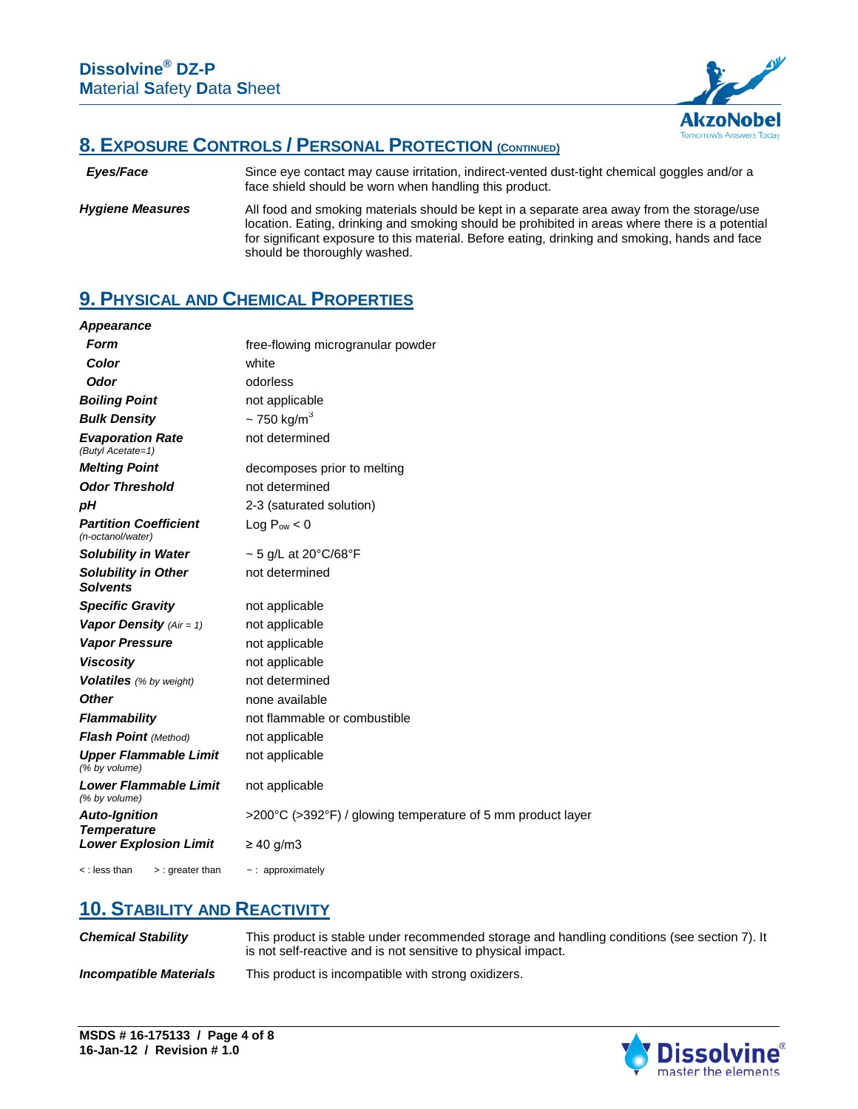

## **8. EXPOSURE CONTROLS / PERSONAL PROTECTION (CONTINUED)**

 *Eyes/Face* Since eye contact may cause irritation, indirect-vented dust-tight chemical goggles and/or a face shield should be worn when handling this product.

*Hygiene Measures* All food and smoking materials should be kept in a separate area away from the storage/use location. Eating, drinking and smoking should be prohibited in areas where there is a potential for significant exposure to this material. Before eating, drinking and smoking, hands and face should be thoroughly washed.

## **9. PHYSICAL AND CHEMICAL PROPERTIES**

| <b>Appearance</b>                                 |                                                             |  |
|---------------------------------------------------|-------------------------------------------------------------|--|
| <b>Form</b>                                       | free-flowing microgranular powder                           |  |
| Color                                             | white                                                       |  |
| <b>Odor</b>                                       | odorless                                                    |  |
| <b>Boiling Point</b>                              | not applicable                                              |  |
| <b>Bulk Density</b>                               | $\sim$ 750 kg/m <sup>3</sup>                                |  |
| <b>Evaporation Rate</b><br>(Butyl Acetate=1)      | not determined                                              |  |
| <b>Melting Point</b>                              | decomposes prior to melting                                 |  |
| <b>Odor Threshold</b>                             | not determined                                              |  |
| рH                                                | 2-3 (saturated solution)                                    |  |
| <b>Partition Coefficient</b><br>(n-octanol/water) | Log $P_{ow}$ < 0                                            |  |
| <b>Solubility in Water</b>                        | $\sim$ 5 g/L at 20°C/68°F                                   |  |
| <b>Solubility in Other</b><br><b>Solvents</b>     | not determined                                              |  |
| <b>Specific Gravity</b>                           | not applicable                                              |  |
| Vapor Density $(Air = 1)$                         | not applicable                                              |  |
| <b>Vapor Pressure</b>                             | not applicable                                              |  |
| <b>Viscosity</b>                                  | not applicable                                              |  |
| <b>Volatiles</b> (% by weight)                    | not determined                                              |  |
| <b>Other</b>                                      | none available                                              |  |
| <b>Flammability</b>                               | not flammable or combustible                                |  |
| Flash Point (Method)                              | not applicable                                              |  |
| <b>Upper Flammable Limit</b><br>(% by volume)     | not applicable                                              |  |
| <b>Lower Flammable Limit</b><br>(% by volume)     | not applicable                                              |  |
| <b>Auto-Ignition</b><br><b>Temperature</b>        | >200°C (>392°F) / glowing temperature of 5 mm product layer |  |
| <b>Lower Explosion Limit</b>                      | $\geq$ 40 g/m3                                              |  |
| < : less than<br>$>$ : greater than               | $\sim$ : approximately                                      |  |

### **10. STABILITY AND REACTIVITY**

| <b>Chemical Stability</b>     | This product is stable under recommended storage and handling conditions (see section 7). It<br>is not self-reactive and is not sensitive to physical impact. |
|-------------------------------|---------------------------------------------------------------------------------------------------------------------------------------------------------------|
| <b>Incompatible Materials</b> | This product is incompatible with strong oxidizers.                                                                                                           |

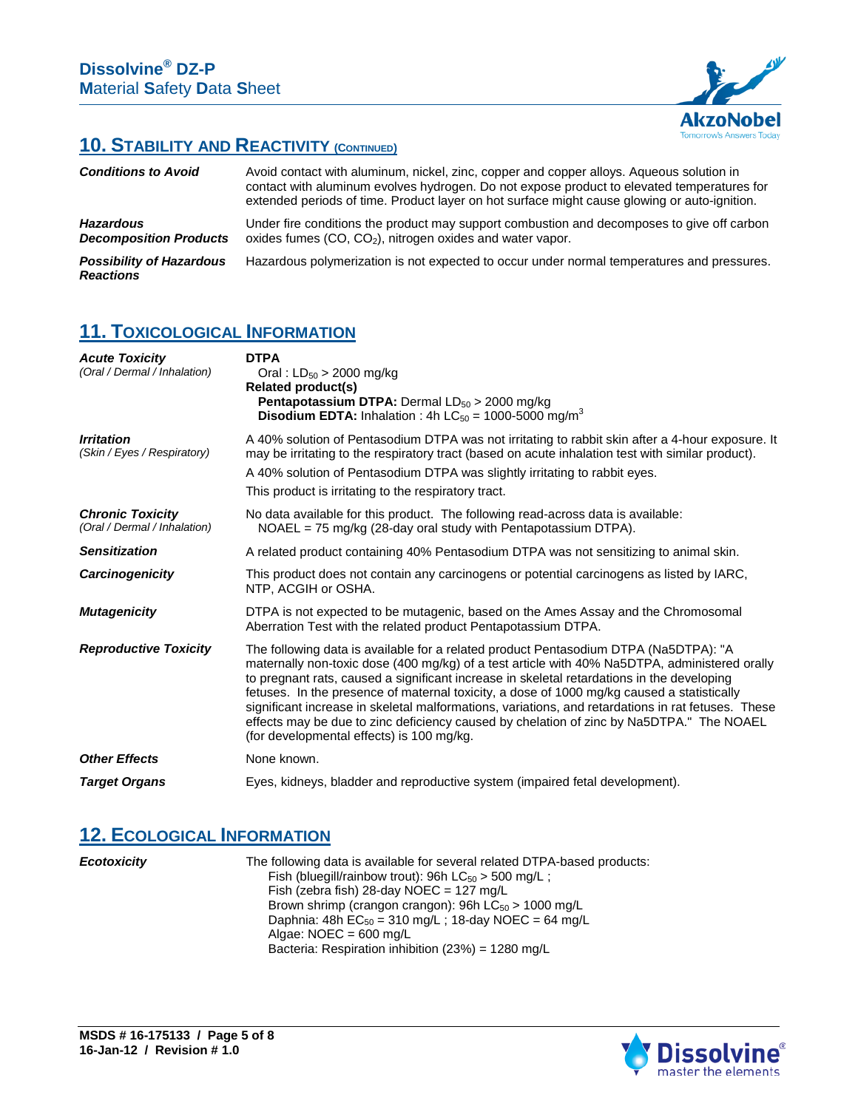

## **10. STABILITY AND REACTIVITY (CONTINUED)**

| <b>Conditions to Avoid</b>                          | Avoid contact with aluminum, nickel, zinc, copper and copper alloys. Aqueous solution in<br>contact with aluminum evolves hydrogen. Do not expose product to elevated temperatures for<br>extended periods of time. Product layer on hot surface might cause glowing or auto-ignition. |
|-----------------------------------------------------|----------------------------------------------------------------------------------------------------------------------------------------------------------------------------------------------------------------------------------------------------------------------------------------|
| <b>Hazardous</b><br><b>Decomposition Products</b>   | Under fire conditions the product may support combustion and decomposes to give off carbon<br>oxides fumes $(CO, CO2)$ , nitrogen oxides and water vapor.                                                                                                                              |
| <b>Possibility of Hazardous</b><br><b>Reactions</b> | Hazardous polymerization is not expected to occur under normal temperatures and pressures.                                                                                                                                                                                             |

### **11. TOXICOLOGICAL INFORMATION**

| <b>Acute Toxicity</b><br>(Oral / Dermal / Inhalation)   | <b>DTPA</b><br>Oral: $LD_{50} > 2000$ mg/kg<br>Related product(s)<br><b>Pentapotassium DTPA:</b> Dermal $LD_{50} > 2000$ mg/kg<br><b>Disodium EDTA:</b> Inhalation : 4h LC <sub>50</sub> = 1000-5000 mg/m <sup>3</sup>                                                                                                                                                                                                                                                                                                                                                                                                           |
|---------------------------------------------------------|----------------------------------------------------------------------------------------------------------------------------------------------------------------------------------------------------------------------------------------------------------------------------------------------------------------------------------------------------------------------------------------------------------------------------------------------------------------------------------------------------------------------------------------------------------------------------------------------------------------------------------|
| <b>Irritation</b><br>(Skin / Eyes / Respiratory)        | A 40% solution of Pentasodium DTPA was not irritating to rabbit skin after a 4-hour exposure. It<br>may be irritating to the respiratory tract (based on acute inhalation test with similar product).<br>A 40% solution of Pentasodium DTPA was slightly irritating to rabbit eyes.<br>This product is irritating to the respiratory tract.                                                                                                                                                                                                                                                                                      |
| <b>Chronic Toxicity</b><br>(Oral / Dermal / Inhalation) | No data available for this product. The following read-across data is available:<br>$NOAEL = 75$ mg/kg (28-day oral study with Pentapotassium DTPA).                                                                                                                                                                                                                                                                                                                                                                                                                                                                             |
| <b>Sensitization</b>                                    | A related product containing 40% Pentasodium DTPA was not sensitizing to animal skin.                                                                                                                                                                                                                                                                                                                                                                                                                                                                                                                                            |
| Carcinogenicity                                         | This product does not contain any carcinogens or potential carcinogens as listed by IARC,<br>NTP, ACGIH or OSHA.                                                                                                                                                                                                                                                                                                                                                                                                                                                                                                                 |
| <b>Mutagenicity</b>                                     | DTPA is not expected to be mutagenic, based on the Ames Assay and the Chromosomal<br>Aberration Test with the related product Pentapotassium DTPA.                                                                                                                                                                                                                                                                                                                                                                                                                                                                               |
| <b>Reproductive Toxicity</b>                            | The following data is available for a related product Pentasodium DTPA (Na5DTPA): "A<br>maternally non-toxic dose (400 mg/kg) of a test article with 40% Na5DTPA, administered orally<br>to pregnant rats, caused a significant increase in skeletal retardations in the developing<br>fetuses. In the presence of maternal toxicity, a dose of 1000 mg/kg caused a statistically<br>significant increase in skeletal malformations, variations, and retardations in rat fetuses. These<br>effects may be due to zinc deficiency caused by chelation of zinc by Na5DTPA." The NOAEL<br>(for developmental effects) is 100 mg/kg. |
| <b>Other Effects</b>                                    | None known.                                                                                                                                                                                                                                                                                                                                                                                                                                                                                                                                                                                                                      |
| <b>Target Organs</b>                                    | Eyes, kidneys, bladder and reproductive system (impaired fetal development).                                                                                                                                                                                                                                                                                                                                                                                                                                                                                                                                                     |

## **12. ECOLOGICAL INFORMATION**

*Ecotoxicity*

The following data is available for several related DTPA-based products: Fish (bluegill/rainbow trout): 96h  $LC_{50}$  > 500 mg/L; Fish (zebra fish) 28-day  $NOEC = 127$  mg/L Brown shrimp (crangon crangon): 96h  $\overline{\text{LC}}_{50}$  > 1000 mg/L Daphnia: 48h  $EC_{50} = 310$  mg/L; 18-day NOEC = 64 mg/L Algae:  $NOEC = 600$  mg/L Bacteria: Respiration inhibition (23%) = 1280 mg/L

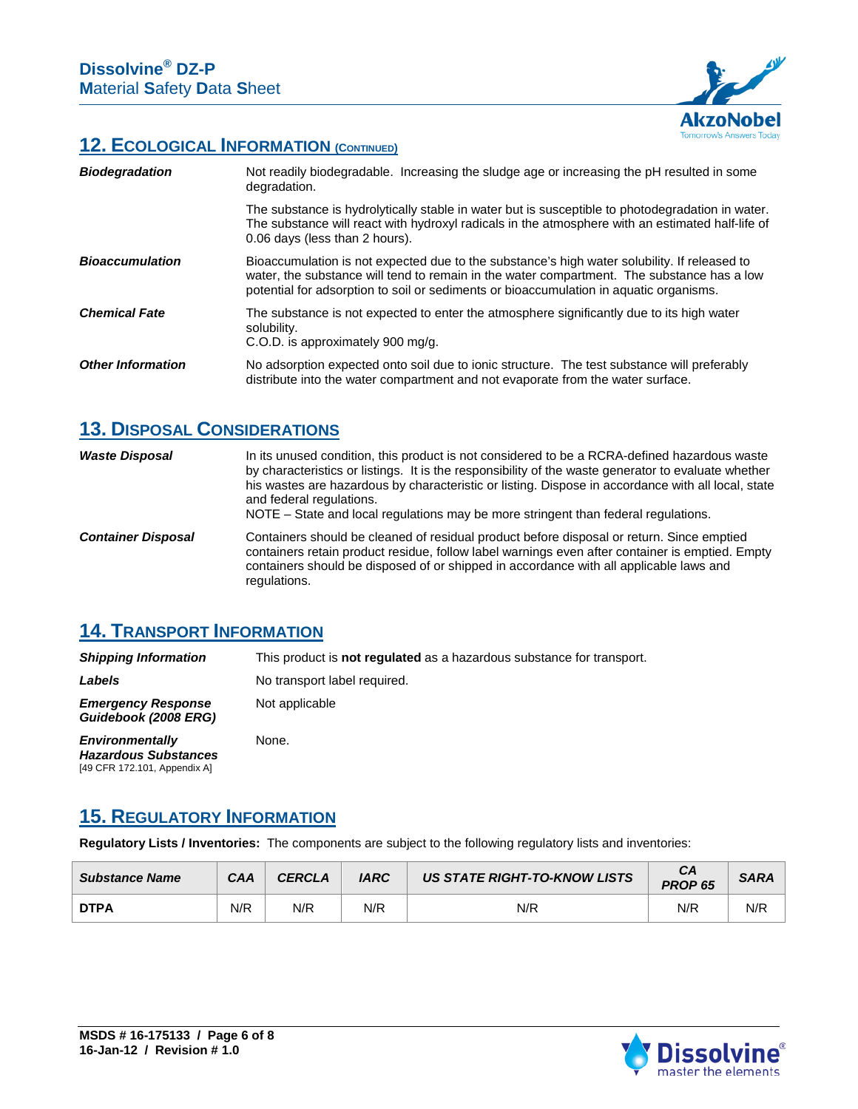

### **12. ECOLOGICAL INFORMATION (CONTINUED)**

| <b>Biodegradation</b>    | Not readily biodegradable. Increasing the sludge age or increasing the pH resulted in some<br>degradation.                                                                                                                                                                           |
|--------------------------|--------------------------------------------------------------------------------------------------------------------------------------------------------------------------------------------------------------------------------------------------------------------------------------|
|                          | The substance is hydrolytically stable in water but is susceptible to photodegradation in water.<br>The substance will react with hydroxyl radicals in the atmosphere with an estimated half-life of<br>0.06 days (less than 2 hours).                                               |
| <b>Bioaccumulation</b>   | Bioaccumulation is not expected due to the substance's high water solubility. If released to<br>water, the substance will tend to remain in the water compartment. The substance has a low<br>potential for adsorption to soil or sediments or bioaccumulation in aquatic organisms. |
| <b>Chemical Fate</b>     | The substance is not expected to enter the atmosphere significantly due to its high water<br>solubility.<br>C.O.D. is approximately 900 mg/g.                                                                                                                                        |
| <b>Other Information</b> | No adsorption expected onto soil due to ionic structure. The test substance will preferably<br>distribute into the water compartment and not evaporate from the water surface.                                                                                                       |

# **13. DISPOSAL CONSIDERATIONS**

| <b>Waste Disposal</b>     | In its unused condition, this product is not considered to be a RCRA-defined hazardous waste<br>by characteristics or listings. It is the responsibility of the waste generator to evaluate whether<br>his wastes are hazardous by characteristic or listing. Dispose in accordance with all local, state<br>and federal regulations.<br>NOTE – State and local regulations may be more stringent than federal regulations. |
|---------------------------|-----------------------------------------------------------------------------------------------------------------------------------------------------------------------------------------------------------------------------------------------------------------------------------------------------------------------------------------------------------------------------------------------------------------------------|
| <b>Container Disposal</b> | Containers should be cleaned of residual product before disposal or return. Since emptied<br>containers retain product residue, follow label warnings even after container is emptied. Empty<br>containers should be disposed of or shipped in accordance with all applicable laws and<br>regulations.                                                                                                                      |

## **14. TRANSPORT INFORMATION**

*Shipping Information* This product is **not regulated** as a hazardous substance for transport. **Labels** No transport label required. *Emergency Response Guidebook (2008 ERG)* Not applicable *Environmentally Hazardous Substances* None.

#### **15. REGULATORY INFORMATION**

[49 CFR 172.101, Appendix A]

**Regulatory Lists / Inventories:** The components are subject to the following regulatory lists and inventories:

| <b>Substance Name</b> | CAA | <b>CERCLA</b> | <b>IARC</b> | US STATE RIGHT-TO-KNOW LISTS | CA<br>PROP <sub>65</sub> | <b>SARA</b> |
|-----------------------|-----|---------------|-------------|------------------------------|--------------------------|-------------|
| <b>DTPA</b>           | N/R | N/R           | N/R         | N/R                          | N/R                      | N/R         |

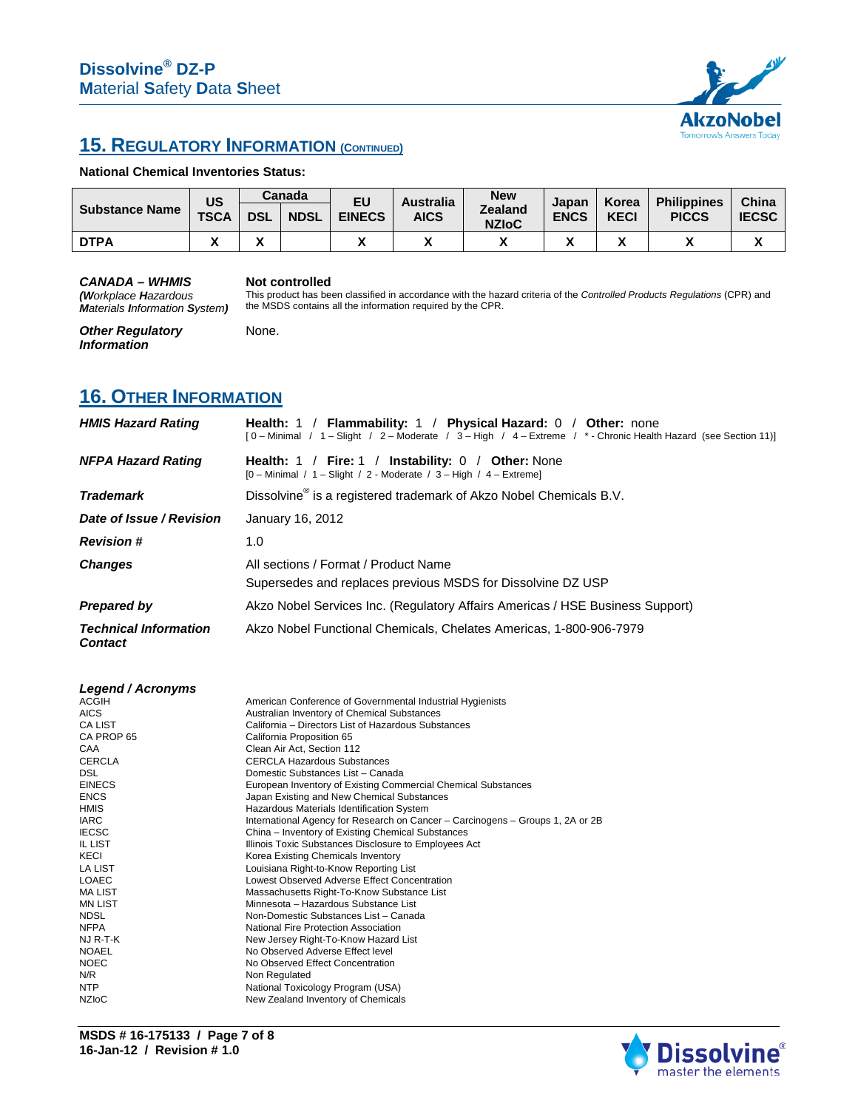

## **15. REGULATORY INFORMATION (CONTINUED)**

#### **National Chemical Inventories Status:**

| US<br><b>Substance Name</b> |             |              | Canada      | EU            | <b>Australia</b><br><b>AICS</b> | <b>New</b><br><b>Zealand</b><br><b>NZIoC</b> | Japan<br><b>ENCS</b> | Korea<br><b>KECI</b> | <b>Philippines</b><br><b>PICCS</b> | China<br><b>IECSC</b> |
|-----------------------------|-------------|--------------|-------------|---------------|---------------------------------|----------------------------------------------|----------------------|----------------------|------------------------------------|-----------------------|
|                             | <b>TSCA</b> | <b>DSL</b>   | <b>NDSL</b> | <b>EINECS</b> |                                 |                                              |                      |                      |                                    |                       |
| <b>DTPA</b>                 | ,,          | $\mathbf{v}$ |             |               |                                 |                                              |                      |                      |                                    | ́                     |

the MSDS contains all the information required by the CPR.

#### *CANADA – WHMIS*

#### **Not controlled** This product has been classified in accordance with the hazard criteria of the *Controlled Products Regulations* (CPR) and

None.

*(Workplace Hazardous Materials Information System)* 

*Other Regulatory Information*

**16. OTHER INFORMATION**

| <b>HMIS Hazard Rating</b>                      | Health: 1 / Flammability: 1 / Physical Hazard: 0 / Other: none<br>[0 - Minimal / 1 - Slight / 2 - Moderate / 3 - High / 4 - Extreme / * - Chronic Health Hazard (see Section 11)] |  |  |  |
|------------------------------------------------|-----------------------------------------------------------------------------------------------------------------------------------------------------------------------------------|--|--|--|
| <b>NFPA Hazard Rating</b>                      | <b>Health:</b> 1 / Fire: 1 / Instability: 0 / Other: None<br>[0 - Minimal / 1 - Slight / 2 - Moderate / 3 - High / 4 - Extreme]                                                   |  |  |  |
| <b>Trademark</b>                               | Dissolvine <sup>®</sup> is a registered trademark of Akzo Nobel Chemicals B.V.                                                                                                    |  |  |  |
| Date of Issue / Revision                       | January 16, 2012                                                                                                                                                                  |  |  |  |
| <b>Revision #</b>                              | 1.0                                                                                                                                                                               |  |  |  |
| <b>Changes</b>                                 | All sections / Format / Product Name<br>Supersedes and replaces previous MSDS for Dissolvine DZ USP                                                                               |  |  |  |
| <b>Prepared by</b>                             | Akzo Nobel Services Inc. (Regulatory Affairs Americas / HSE Business Support)                                                                                                     |  |  |  |
| <b>Technical Information</b><br><b>Contact</b> | Akzo Nobel Functional Chemicals, Chelates Americas, 1-800-906-7979                                                                                                                |  |  |  |

| Legend / Acronyms |                                                                                |
|-------------------|--------------------------------------------------------------------------------|
| <b>ACGIH</b>      | American Conference of Governmental Industrial Hygienists                      |
| <b>AICS</b>       | Australian Inventory of Chemical Substances                                    |
| <b>CA LIST</b>    | California – Directors List of Hazardous Substances                            |
| CA PROP 65        | California Proposition 65                                                      |
| CAA               | Clean Air Act, Section 112                                                     |
| <b>CERCLA</b>     | <b>CERCLA Hazardous Substances</b>                                             |
| <b>DSL</b>        | Domestic Substances List - Canada                                              |
| <b>EINECS</b>     | European Inventory of Existing Commercial Chemical Substances                  |
| <b>ENCS</b>       | Japan Existing and New Chemical Substances                                     |
| <b>HMIS</b>       | Hazardous Materials Identification System                                      |
| <b>IARC</b>       | International Agency for Research on Cancer - Carcinogens - Groups 1, 2A or 2B |
| <b>IECSC</b>      | China – Inventory of Existing Chemical Substances                              |
| <b>IL LIST</b>    | Illinois Toxic Substances Disclosure to Employees Act                          |
| KECI              | Korea Existing Chemicals Inventory                                             |
| <b>LA LIST</b>    | Louisiana Right-to-Know Reporting List                                         |
| <b>LOAEC</b>      | Lowest Observed Adverse Effect Concentration                                   |
| <b>MA LIST</b>    | Massachusetts Right-To-Know Substance List                                     |
| <b>MN LIST</b>    | Minnesota - Hazardous Substance List                                           |
| <b>NDSL</b>       | Non-Domestic Substances List - Canada                                          |
| <b>NFPA</b>       | National Fire Protection Association                                           |
| NJ R-T-K          | New Jersey Right-To-Know Hazard List                                           |
| <b>NOAEL</b>      | No Observed Adverse Effect level                                               |
| <b>NOEC</b>       | No Observed Effect Concentration                                               |
| N/R               | Non Regulated                                                                  |
| <b>NTP</b>        | National Toxicology Program (USA)                                              |
| <b>NZIOC</b>      | New Zealand Inventory of Chemicals                                             |